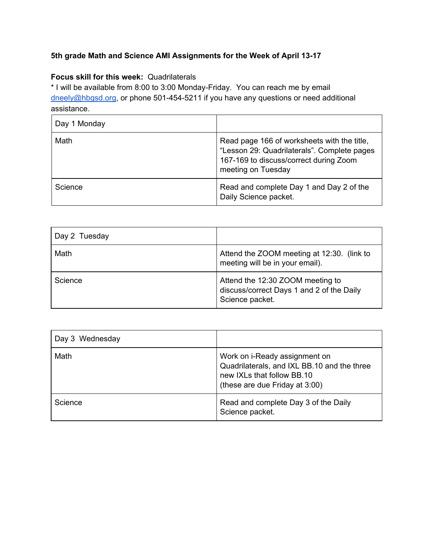## **5th grade Math and Science AMI Assignments for the Week of April 13-17**

## **Focus skill for this week:** Quadrilaterals

\* I will be available from 8:00 to 3:00 Monday-Friday. You can reach me by email [dneely@hbgsd.org](mailto:dneely@hbgsd.org), or phone 501-454-5211 if you have any questions or need additional assistance.

| Day 1 Monday |                                                                                                                                                            |
|--------------|------------------------------------------------------------------------------------------------------------------------------------------------------------|
| Math         | Read page 166 of worksheets with the title,<br>"Lesson 29: Quadrilaterals". Complete pages<br>167-169 to discuss/correct during Zoom<br>meeting on Tuesday |
| Science      | Read and complete Day 1 and Day 2 of the<br>Daily Science packet.                                                                                          |

| Day 2 Tuesday |                                                                                                  |
|---------------|--------------------------------------------------------------------------------------------------|
| Math          | Attend the ZOOM meeting at 12:30. (link to<br>meeting will be in your email).                    |
| Science       | Attend the 12:30 ZOOM meeting to<br>discuss/correct Days 1 and 2 of the Daily<br>Science packet. |

| Day 3 Wednesday |                                                                                                                                              |
|-----------------|----------------------------------------------------------------------------------------------------------------------------------------------|
| Math            | Work on i-Ready assignment on<br>Quadrilaterals, and IXL BB.10 and the three<br>new IXLs that follow BB.10<br>(these are due Friday at 3:00) |
| Science         | Read and complete Day 3 of the Daily<br>Science packet.                                                                                      |